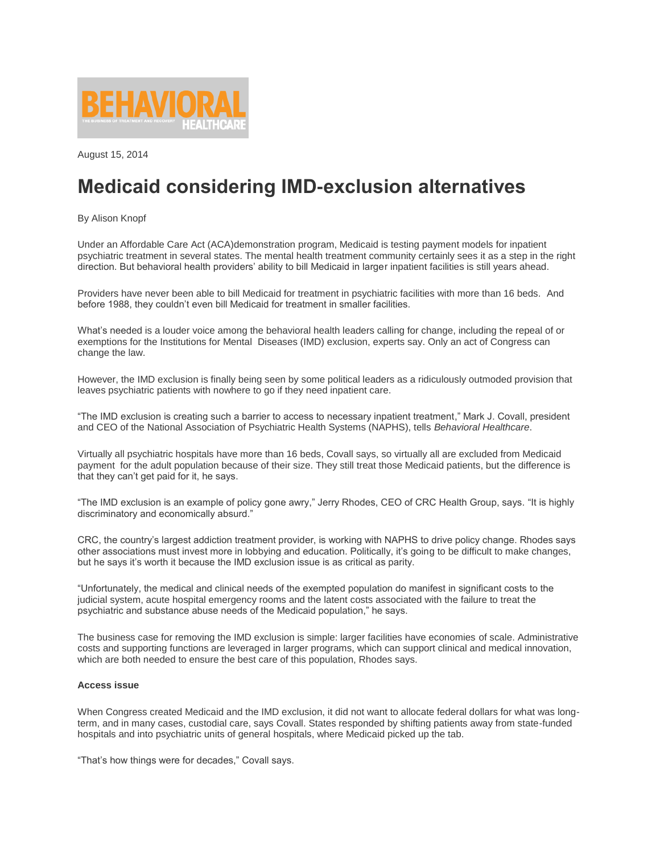

August 15, 2014

## **Medicaid considering IMD-exclusion alternatives**

By Alison Knopf

Under an Affordable Care Act (ACA)demonstration program, Medicaid is testing payment models for inpatient psychiatric treatment in several states. The mental health treatment community certainly sees it as a step in the right direction. But behavioral health providers' ability to bill Medicaid in larger inpatient facilities is still years ahead.

Providers have never been able to bill Medicaid for treatment in psychiatric facilities with more than 16 beds. And before 1988, they couldn't even bill Medicaid for treatment in smaller facilities.

What's needed is a louder voice among the behavioral health leaders calling for change, including the repeal of or exemptions for the Institutions for Mental Diseases (IMD) exclusion, experts say. Only an act of Congress can change the law.

However, the IMD exclusion is finally being seen by some political leaders as a ridiculously outmoded provision that leaves psychiatric patients with nowhere to go if they need inpatient care.

"The IMD exclusion is creating such a barrier to access to necessary inpatient treatment," Mark J. Covall, president and CEO of the National Association of Psychiatric Health Systems (NAPHS), tells *Behavioral Healthcare*.

Virtually all psychiatric hospitals have more than 16 beds, Covall says, so virtually all are excluded from Medicaid payment for the adult population because of their size. They still treat those Medicaid patients, but the difference is that they can't get paid for it, he says.

"The IMD exclusion is an example of policy gone awry," Jerry Rhodes, CEO of CRC Health Group, says. "It is highly discriminatory and economically absurd."

CRC, the country's largest addiction treatment provider, is working with NAPHS to drive policy change. Rhodes says other associations must invest more in lobbying and education. Politically, it's going to be difficult to make changes, but he says it's worth it because the IMD exclusion issue is as critical as parity.

"Unfortunately, the medical and clinical needs of the exempted population do manifest in significant costs to the judicial system, acute hospital emergency rooms and the latent costs associated with the failure to treat the psychiatric and substance abuse needs of the Medicaid population," he says.

The business case for removing the IMD exclusion is simple: larger facilities have economies of scale. Administrative costs and supporting functions are leveraged in larger programs, which can support clinical and medical innovation, which are both needed to ensure the best care of this population, Rhodes says.

#### **Access issue**

When Congress created Medicaid and the IMD exclusion, it did not want to allocate federal dollars for what was longterm, and in many cases, custodial care, says Covall. States responded by shifting patients away from state-funded hospitals and into psychiatric units of general hospitals, where Medicaid picked up the tab.

"That's how things were for decades," Covall says.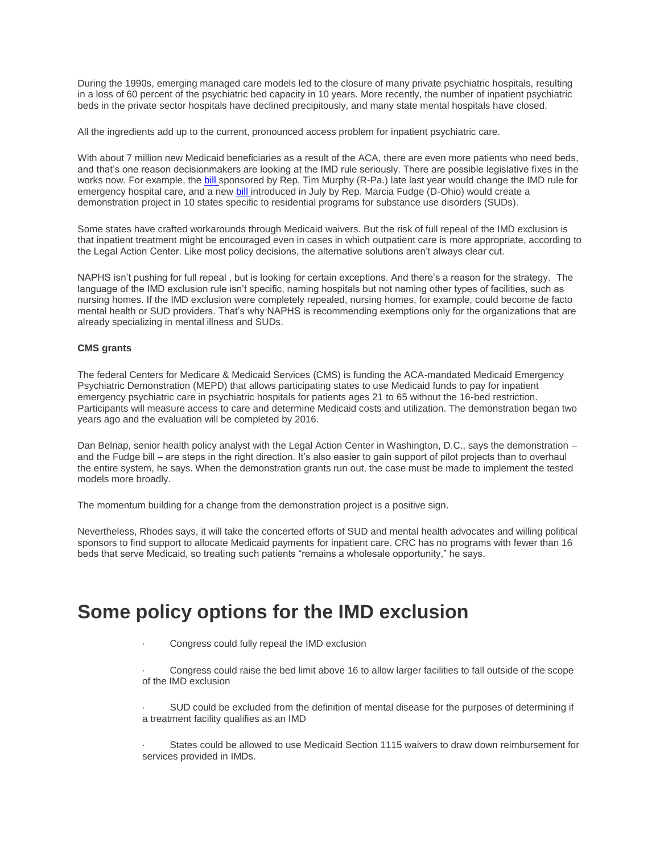During the 1990s, emerging managed care models led to the closure of many private psychiatric hospitals, resulting in a loss of 60 percent of the psychiatric bed capacity in 10 years. More recently, the number of inpatient psychiatric beds in the private sector hospitals have declined precipitously, and many state mental hospitals have closed.

All the ingredients add up to the current, pronounced access problem for inpatient psychiatric care.

With about 7 million new Medicaid beneficiaries as a result of the ACA, there are even more patients who need beds, and that's one reason decisionmakers are looking at the IMD rule seriously. There are possible legislative fixes in the works now. For example, th[e bill s](https://beta.congress.gov/bill/113th-congress/house-bill/3717)ponsored by Rep. Tim Murphy (R-Pa.) late last year would change the IMD rule for emergency hospital care, and a new [bill in](http://fudge.house.gov/news-articles/rep-fudges-bill-closing-outdated-medicaid-drugtreatment-loophole-needs-bipartisan-backing-editorial/)troduced in July by Rep. Marcia Fudge (D-Ohio) would create a demonstration project in 10 states specific to residential programs for substance use disorders (SUDs).

Some states have crafted workarounds through Medicaid waivers. But the risk of full repeal of the IMD exclusion is that inpatient treatment might be encouraged even in cases in which outpatient care is more appropriate, according to the Legal Action Center. Like most policy decisions, the alternative solutions aren't always clear cut.

NAPHS isn't pushing for full repeal , but is looking for certain exceptions. And there's a reason for the strategy. The language of the IMD exclusion rule isn't specific, naming hospitals but not naming other types of facilities, such as nursing homes. If the IMD exclusion were completely repealed, nursing homes, for example, could become de facto mental health or SUD providers. That's why NAPHS is recommending exemptions only for the organizations that are already specializing in mental illness and SUDs.

#### **CMS grants**

The federal Centers for Medicare & Medicaid Services (CMS) is funding the ACA-mandated Medicaid Emergency Psychiatric Demonstration (MEPD) that allows participating states to use Medicaid funds to pay for inpatient emergency psychiatric care in psychiatric hospitals for patients ages 21 to 65 without the 16-bed restriction. Participants will measure access to care and determine Medicaid costs and utilization. The demonstration began two years ago and the evaluation will be completed by 2016.

Dan Belnap, senior health policy analyst with the Legal Action Center in Washington, D.C., says the demonstration – and the Fudge bill – are steps in the right direction. It's also easier to gain support of pilot projects than to overhaul the entire system, he says. When the demonstration grants run out, the case must be made to implement the tested models more broadly.

The momentum building for a change from the demonstration project is a positive sign.

Nevertheless, Rhodes says, it will take the concerted efforts of SUD and mental health advocates and willing political sponsors to find support to allocate Medicaid payments for inpatient care. CRC has no programs with fewer than 16 beds that serve Medicaid, so treating such patients "remains a wholesale opportunity," he says.

### **Some policy options for the IMD exclusion**

- Congress could fully repeal the IMD exclusion
- · Congress could raise the bed limit above 16 to allow larger facilities to fall outside of the scope of the IMD exclusion
- SUD could be excluded from the definition of mental disease for the purposes of determining if a treatment facility qualifies as an IMD
- States could be allowed to use Medicaid Section 1115 waivers to draw down reimbursement for services provided in IMDs.